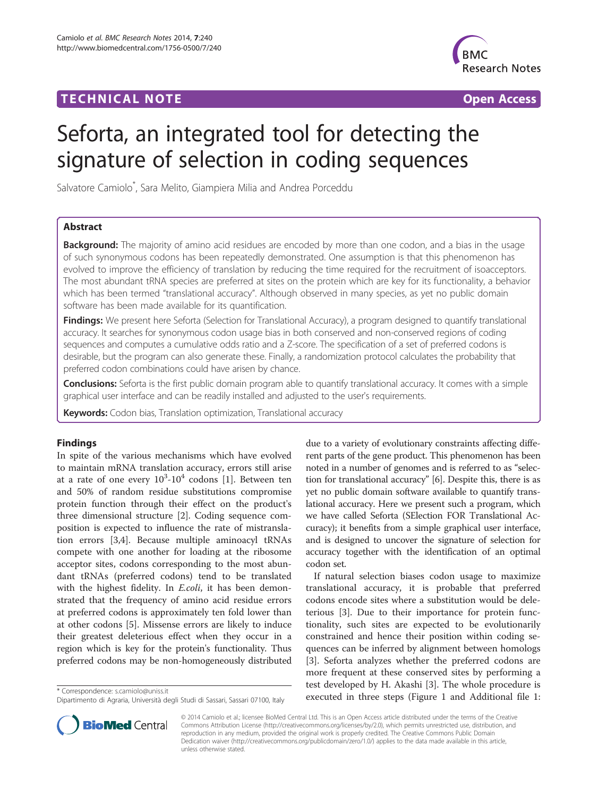## **TECHNICAL NOTE SECOND EXECUTIVE CONTRACT CONTRACT CONTRACT CONTRACT CONTRACT CONTRACT CONTRACT CONTRACT CONTRACT CONTRACT CONTRACT CONTRACT CONTRACT CONTRACT CONTRACT CONTRACT CONTRACT CONTRACT CONTRACT CONTRACT CONTRAC**



# Seforta, an integrated tool for detecting the signature of selection in coding sequences

Salvatore Camiolo\* , Sara Melito, Giampiera Milia and Andrea Porceddu

## Abstract

**Background:** The majority of amino acid residues are encoded by more than one codon, and a bias in the usage of such synonymous codons has been repeatedly demonstrated. One assumption is that this phenomenon has evolved to improve the efficiency of translation by reducing the time required for the recruitment of isoacceptors. The most abundant tRNA species are preferred at sites on the protein which are key for its functionality, a behavior which has been termed "translational accuracy". Although observed in many species, as yet no public domain software has been made available for its quantification.

Findings: We present here Seforta (Selection for Translational Accuracy), a program designed to quantify translational accuracy. It searches for synonymous codon usage bias in both conserved and non-conserved regions of coding sequences and computes a cumulative odds ratio and a Z-score. The specification of a set of preferred codons is desirable, but the program can also generate these. Finally, a randomization protocol calculates the probability that preferred codon combinations could have arisen by chance.

Conclusions: Seforta is the first public domain program able to quantify translational accuracy. It comes with a simple graphical user interface and can be readily installed and adjusted to the user's requirements.

Keywords: Codon bias, Translation optimization, Translational accuracy

## Findings

In spite of the various mechanisms which have evolved to maintain mRNA translation accuracy, errors still arise at a rate of one every  $10^3$  $10^3$ - $10^4$  codons [1]. Between ten and 50% of random residue substitutions compromise protein function through their effect on the product's three dimensional structure [[2\]](#page-2-0). Coding sequence composition is expected to influence the rate of mistranslation errors [[3,4\]](#page-2-0). Because multiple aminoacyl tRNAs compete with one another for loading at the ribosome acceptor sites, codons corresponding to the most abundant tRNAs (preferred codons) tend to be translated with the highest fidelity. In *E.coli*, it has been demonstrated that the frequency of amino acid residue errors at preferred codons is approximately ten fold lower than at other codons [[5](#page-2-0)]. Missense errors are likely to induce their greatest deleterious effect when they occur in a region which is key for the protein's functionality. Thus preferred codons may be non-homogeneously distributed

due to a variety of evolutionary constraints affecting different parts of the gene product. This phenomenon has been noted in a number of genomes and is referred to as "selection for translational accuracy" [\[6](#page-2-0)]. Despite this, there is as yet no public domain software available to quantify translational accuracy. Here we present such a program, which we have called Seforta (SElection FOR Translational Accuracy); it benefits from a simple graphical user interface, and is designed to uncover the signature of selection for accuracy together with the identification of an optimal codon set.

If natural selection biases codon usage to maximize translational accuracy, it is probable that preferred codons encode sites where a substitution would be deleterious [[3\]](#page-2-0). Due to their importance for protein functionality, such sites are expected to be evolutionarily constrained and hence their position within coding sequences can be inferred by alignment between homologs [[3\]](#page-2-0). Seforta analyzes whether the preferred codons are more frequent at these conserved sites by performing a test developed by H. Akashi [\[3](#page-2-0)]. The whole procedure is executed in three steps (Figure [1](#page-2-0) and Additional file 1:<br>Dipartimento di Agraria Università degli Studi di Sassari Sassari 07100 Italy executed in three steps (Figure 1 and Additional file 1:



© 2014 Camiolo et al.; licensee BioMed Central Ltd. This is an Open Access article distributed under the terms of the Creative Commons Attribution License [\(http://creativecommons.org/licenses/by/2.0\)](http://creativecommons.org/licenses/by/2.0), which permits unrestricted use, distribution, and reproduction in any medium, provided the original work is properly credited. The Creative Commons Public Domain Dedication waiver [\(http://creativecommons.org/publicdomain/zero/1.0/](http://creativecommons.org/publicdomain/zero/1.0/)) applies to the data made available in this article, unless otherwise stated.

Dipartimento di Agraria, Università degli Studi di Sassari, Sassari 07100, Italy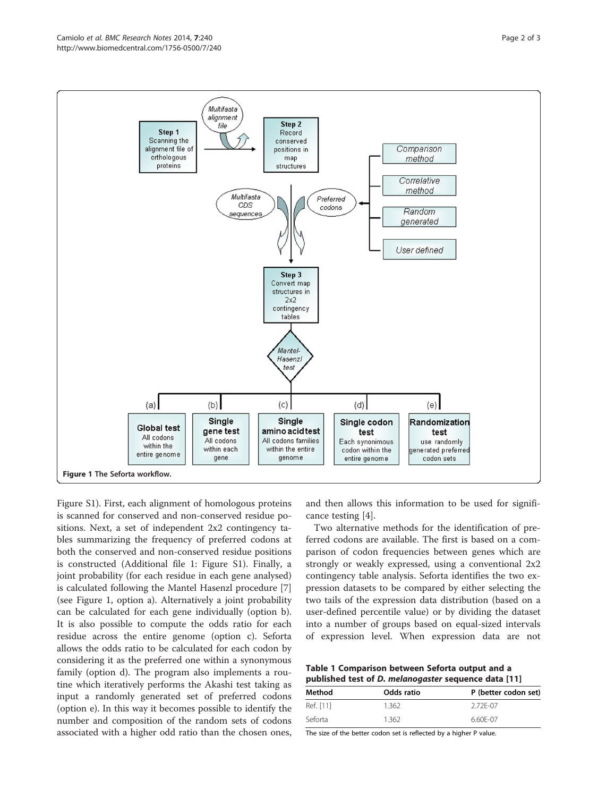<span id="page-1-0"></span>

Figure S1). First, each alignment of homologous proteins is scanned for conserved and non-conserved residue positions. Next, a set of independent 2x2 contingency tables summarizing the frequency of preferred codons at both the conserved and non-conserved residue positions is constructed (Additional file [1](#page-2-0): Figure S1). Finally, a joint probability (for each residue in each gene analysed) is calculated following the Mantel Hasenzl procedure [\[7](#page-2-0)] (see Figure 1, option a). Alternatively a joint probability can be calculated for each gene individually (option b). It is also possible to compute the odds ratio for each residue across the entire genome (option c). Seforta allows the odds ratio to be calculated for each codon by considering it as the preferred one within a synonymous family (option d). The program also implements a routine which iteratively performs the Akashi test taking as input a randomly generated set of preferred codons (option e). In this way it becomes possible to identify the number and composition of the random sets of codons associated with a higher odd ratio than the chosen ones,

and then allows this information to be used for significance testing [[4\]](#page-2-0).

Two alternative methods for the identification of preferred codons are available. The first is based on a comparison of codon frequencies between genes which are strongly or weakly expressed, using a conventional 2x2 contingency table analysis. Seforta identifies the two expression datasets to be compared by either selecting the two tails of the expression data distribution (based on a user-defined percentile value) or by dividing the dataset into a number of groups based on equal-sized intervals of expression level. When expression data are not

Table 1 Comparison between Seforta output and a published test of D. melanogaster sequence data [\[11](#page-2-0)]

| Method    | Odds ratio | P (better codon set) |
|-----------|------------|----------------------|
| Ref. [11] | 1.362      | 2.72F-07             |
| Seforta   | 1.362      | 6.60F-07             |

The size of the better codon set is reflected by a higher P value.